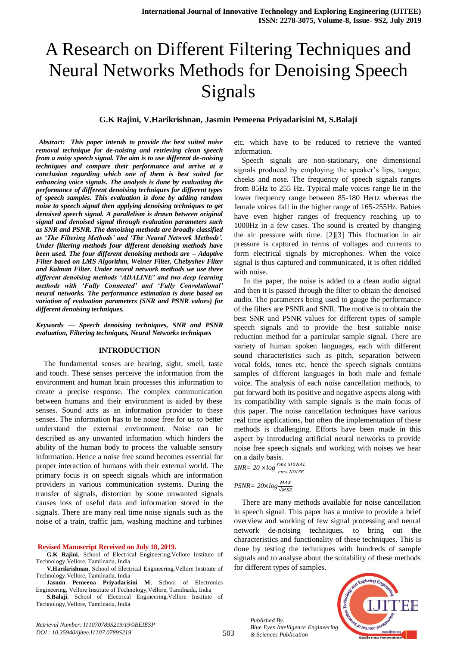# A Research on Different Filtering Techniques and Neural Networks Methods for Denoising Speech Signals

## **G.K Rajini, V.Harikrishnan, Jasmin Pemeena Priyadarisini M, S.Balaji**

 *Abstract: This paper intends to provide the best suited noise removal technique for de-noising and retrieving clean speech from a noisy speech signal. The aim is to use different de-noising techniques and compare their performance and arrive at a conclusion regarding which one of them is best suited for enhancing voice signals. The analysis is done by evaluating the performance of different denoising techniques for different types of speech samples. This evaluation is done by adding random noise to speech signal then applying denoising techniques to get denoised speech signal. A parallelism is drawn between original signal and denoised signal through evaluation parameters such as SNR and PSNR. The denoising methods are broadly classified as 'The Filtering Methods' and 'The Neural Network Methods'. Under filtering methods four different denoising methods have been used. The four different denoising methods are – Adaptive Filter based on LMS Algorithm, Weiner Filter, Chebyshev Filter and Kalman Filter. Under neural network methods we use three different denoising methods 'ADALINE' and two deep learning methods with 'Fully Connected' and 'Fully Convolutional' neural networks. The performance estimation is done based on variation of evaluation parameters (SNR and PSNR values) for different denoising techniques.*

#### *Keywords — Speech denoising techniques, SNR and PSNR evaluation, Filtering techniques, Neural Networks techniques*

#### **INTRODUCTION**

The fundamental senses are hearing, sight, smell, taste and touch. These senses perceive the information from the environment and human brain processes this information to create a precise response. The complex communication between humans and their environment is aided by these senses. Sound acts as an information provider to these senses. The information has to be noise free for us to better understand the external environment. Noise can be described as any unwanted information which hinders the ability of the human body to process the valuable sensory information. Hence a noise free sound becomes essential for proper interaction of humans with their external world. The primary focus is on speech signals which are information providers in various communication systems. During the transfer of signals, distortion by some unwanted signals causes loss of useful data and information stored in the signals. There are many real time noise signals such as the noise of a train, traffic jam, washing machine and turbines

#### **Revised Manuscript Received on July 18, 2019.**

**G.K Rajini**, School of Electrical Engineering,Vellore Institute of Technology,Vellore, Tamilnadu, India

**V.Harikrishnan**, School of Electrical Engineering,Vellore Institute of Technology,Vellore, Tamilnadu, India

**Jasmin Pemeena Priyadarisini M**, School of Electronics Engineering, Vellore Institute of Technology,Vellore, Tamilnadu, India

**S.Balaji**, School of Electrical Engineering,Vellore Institute of Technology,Vellore, Tamilnadu, India

*Retrieval Number: I11070789S219/19©BEIESP DOI : 10.35940/ijitee.I1107.0789S219*

etc. which have to be reduced to retrieve the wanted information.

Speech signals are non-stationary, one dimensional signals produced by employing the speaker's lips, tongue, cheeks and nose. The frequency of speech signals ranges from 85Hz to 255 Hz. Typical male voices range lie in the lower frequency range between 85-180 Hertz whereas the female voices fall in the higher range of 165-255Hz. Babies have even higher ranges of frequency reaching up to 1000Hz in a few cases. The sound is created by changing the air pressure with time. [2][3] This fluctuation in air pressure is captured in terms of voltages and currents to form electrical signals by microphones. When the voice signal is thus captured and communicated, it is often riddled with noise.

In the paper, the noise is added to a clean audio signal and then it is passed through the filter to obtain the denoised audio. The parameters being used to gauge the performance of the filters are PSNR and SNR. The motive is to obtain the best SNR and PSNR values for different types of sample speech signals and to provide the best suitable noise reduction method for a particular sample signal. There are variety of human spoken languages, each with different sound characteristics such as pitch, separation between vocal folds, tones etc. hence the speech signals contains samples of different languages in both male and female voice. The analysis of each noise cancellation methods, to put forward both its positive and negative aspects along with its compatibility with sample signals is the main focus of this paper. The noise cancellation techniques have various real time applications, but often the implementation of these methods is challenging. Efforts have been made in this aspect by introducing artificial neural networks to provide noise free speech signals and working with noises we hear on a daily basis.

 $SNR = 20 \times log \frac{P}{r}$ 

*PSNR=*  $20 \times log \frac{M}{\sqrt{M}}$ 

There are many methods available for noise cancellation in speech signal. This paper has a motive to provide a brief overview and working of few signal processing and neural network de-noising techniques, to bring out the characteristics and functionality of these techniques. This is done by testing the techniques with hundreds of sample signals and to analyse about the suitability of these methods for different types of samples.

*Published By: Blue Eyes Intelligence Engineering & Sciences Publication* 

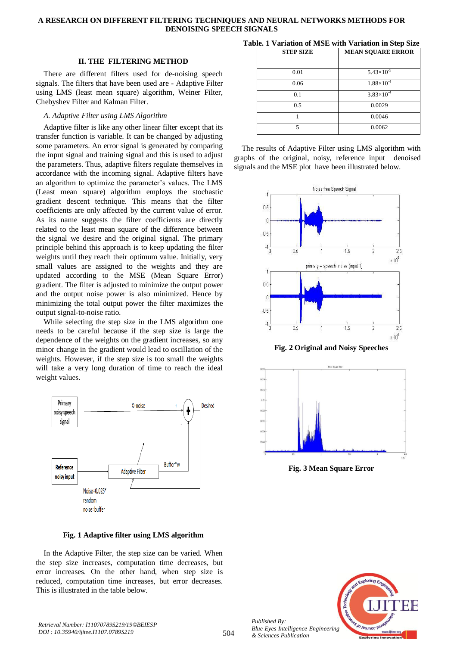## **II. THE FILTERING METHOD**

There are different filters used for de-noising speech signals. The filters that have been used are - Adaptive Filter using LMS (least mean square) algorithm, Weiner Filter, Chebyshev Filter and Kalman Filter.

# *A. Adaptive Filter using LMS Algorithm*

Adaptive filter is like any other linear filter except that its transfer function is variable. It can be changed by adjusting some parameters. An error signal is generated by comparing the input signal and training signal and this is used to adjust the parameters. Thus, adaptive filters regulate themselves in accordance with the incoming signal. Adaptive filters have an algorithm to optimize the parameter's values. The LMS (Least mean square) algorithm employs the stochastic gradient descent technique. This means that the filter coefficients are only affected by the current value of error. As its name suggests the filter coefficients are directly related to the least mean square of the difference between the signal we desire and the original signal. The primary principle behind this approach is to keep updating the filter weights until they reach their optimum value. Initially, very small values are assigned to the weights and they are updated according to the MSE (Mean Square Error) gradient. The filter is adjusted to minimize the output power and the output noise power is also minimized. Hence by minimizing the total output power the filter maximizes the output signal-to-noise ratio.

While selecting the step size in the LMS algorithm one needs to be careful because if the step size is large the dependence of the weights on the gradient increases, so any minor change in the gradient would lead to oscillation of the weights. However, if the step size is too small the weights will take a very long duration of time to reach the ideal weight values.



**Fig. 1 Adaptive filter using LMS algorithm**

In the Adaptive Filter, the step size can be varied. When the step size increases, computation time decreases, but error increases. On the other hand, when step size is reduced, computation time increases, but error decreases. This is illustrated in the table below.

| $\mathbf{u}$ . The amateum of profession $\mathbf{u}$ amateum in otcp older |
|-----------------------------------------------------------------------------|
| <b>MEAN SQUARE ERROR</b>                                                    |
| $5.43\times10^{-5}$                                                         |
| $1.88\times10^{-4}$                                                         |
| $3.83\times10^{-4}$                                                         |
| 0.0029                                                                      |
| 0.0046                                                                      |
| 0.0062                                                                      |
|                                                                             |

**Table. 1 Variation of MSE with Variation in Step Size**

The results of Adaptive Filter using LMS algorithm with graphs of the original, noisy, reference input denoised signals and the MSE plot have been illustrated below.







**Fig. 3 Mean Square Error**



504 *Published By: Blue Eyes Intelligence Engineering & Sciences Publication*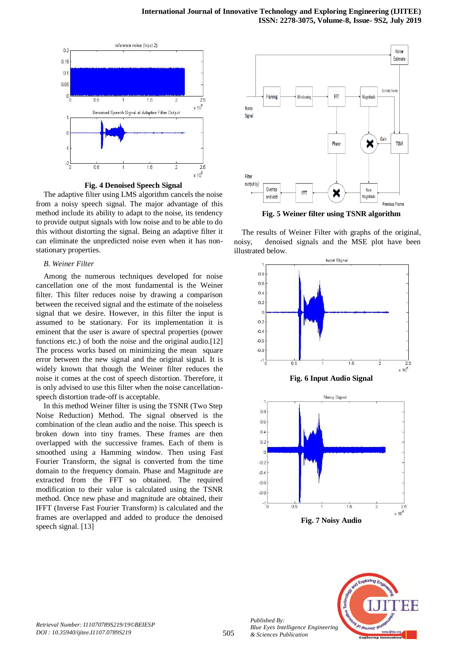

**Fig. 4 Denoised Speech Signal**

The adaptive filter using LMS algorithm cancels the noise from a noisy speech signal. The major advantage of this method include its ability to adapt to the noise, its tendency to provide output signals with low noise and to be able to do this without distorting the signal. Being an adaptive filter it can eliminate the unpredicted noise even when it has nonstationary properties.

#### *B. Weiner Filter*

Among the numerous techniques developed for noise cancellation one of the most fundamental is the Weiner filter. This filter reduces noise by drawing a comparison between the received signal and the estimate of the noiseless signal that we desire. However, in this filter the input is assumed to be stationary. For its implementation it is eminent that the user is aware of spectral properties (power functions etc.) of both the noise and the original audio.[12] The process works based on minimizing the mean square error between the new signal and the original signal. It is widely known that though the Weiner filter reduces the noise it comes at the cost of speech distortion. Therefore, it is only advised to use this filter when the noise cancellationspeech distortion trade-off is acceptable.

In this method Weiner filter is using the TSNR (Two Step Noise Reduction) Method. The signal observed is the combination of the clean audio and the noise. This speech is broken down into tiny frames. These frames are then overlapped with the successive frames. Each of them is smoothed using a Hamming window. Then using Fast Fourier Transform, the signal is converted from the time domain to the frequency domain. Phase and Magnitude are extracted from the FFT so obtained. The required modification to their value is calculated using the TSNR method. Once new phase and magnitude are obtained, their IFFT (Inverse Fast Fourier Transform) is calculated and the frames are overlapped and added to produce the denoised speech signal. [13]



**Fig. 5 Weiner filter using TSNR algorithm**

The results of Weiner Filter with graphs of the original, noisy, denoised signals and the MSE plot have been illustrated below.





*Published By:*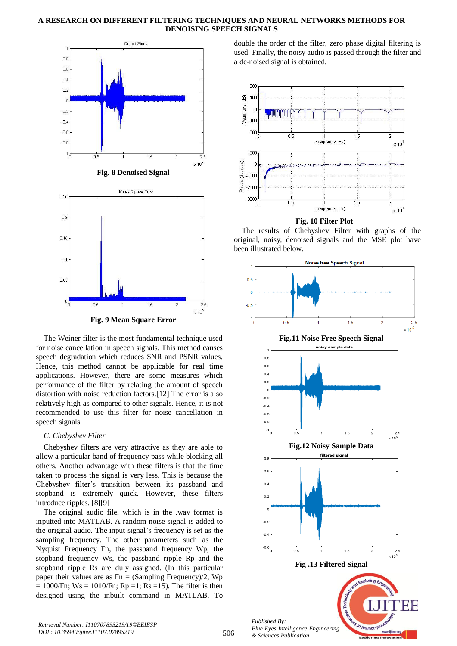

The Weiner filter is the most fundamental technique used for noise cancellation in speech signals. This method causes speech degradation which reduces SNR and PSNR values. Hence, this method cannot be applicable for real time applications. However, there are some measures which performance of the filter by relating the amount of speech distortion with noise reduction factors.[12] The error is also relatively high as compared to other signals. Hence, it is not recommended to use this filter for noise cancellation in speech signals.

#### *C. Chebyshev Filter*

Chebyshev filters are very attractive as they are able to allow a particular band of frequency pass while blocking all others. Another advantage with these filters is that the time taken to process the signal is very less. This is because the Chebyshev filter's transition between its passband and stopband is extremely quick. However, these filters introduce ripples. [8][9]

The original audio file, which is in the .wav format is inputted into MATLAB. A random noise signal is added to the original audio. The input signal's frequency is set as the sampling frequency. The other parameters such as the Nyquist Frequency Fn, the passband frequency Wp, the stopband frequency Ws, the passband ripple Rp and the stopband ripple Rs are duly assigned. (In this particular paper their values are as  $Fn = (Sambling Frequency)/2$ , Wp  $= 1000$ /Fn; Ws = 1010/Fn; Rp =1; Rs =15). The filter is then designed using the inbuilt command in MATLAB. To

double the order of the filter, zero phase digital filtering is used. Finally, the noisy audio is passed through the filter and a de-noised signal is obtained.



 **Fig. 10 Filter Plot**

The results of Chebyshev Filter with graphs of the original, noisy, denoised signals and the MSE plot have been illustrated below.

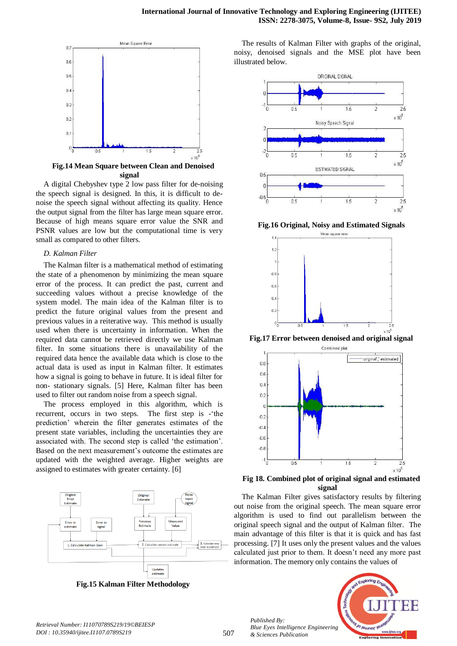

**Fig.14 Mean Square between Clean and Denoised signal**

A digital Chebyshev type 2 low pass filter for de-noising the speech signal is designed. In this, it is difficult to denoise the speech signal without affecting its quality. Hence the output signal from the filter has large mean square error. Because of high means square error value the SNR and PSNR values are low but the computational time is very small as compared to other filters.

#### *D. Kalman Filter*

The Kalman filter is a mathematical method of estimating the state of a phenomenon by minimizing the mean square error of the process. It can predict the past, current and succeeding values without a precise knowledge of the system model. The main idea of the Kalman filter is to predict the future original values from the present and previous values in a reiterative way. This method is usually used when there is uncertainty in information. When the required data cannot be retrieved directly we use Kalman filter. In some situations there is unavailability of the required data hence the available data which is close to the actual data is used as input in Kalman filter. It estimates how a signal is going to behave in future. It is ideal filter for non- stationary signals. [5] Here, Kalman filter has been used to filter out random noise from a speech signal.

The process employed in this algorithm, which is recurrent, occurs in two steps. The first step is -'the prediction' wherein the filter generates estimates of the present state variables, including the uncertainties they are associated with. The second step is called 'the estimation'. Based on the next measurement's outcome the estimates are updated with the weighted average. Higher weights are assigned to estimates with greater certainty. [6]



**Fig.15 Kalman Filter Methodology**

The results of Kalman Filter with graphs of the original, noisy, denoised signals and the MSE plot have been illustrated below.



**Fig.16 Original, Noisy and Estimated Signals**



**Fig.17 Error between denoised and original signal**



**Fig 18. Combined plot of original signal and estimated signal**

The Kalman Filter gives satisfactory results by filtering out noise from the original speech. The mean square error algorithm is used to find out parallelism between the original speech signal and the output of Kalman filter. The main advantage of this filter is that it is quick and has fast processing. [7] It uses only the present values and the values calculated just prior to them. It doesn't need any more past information. The memory only contains the values of



*Retrieval Number: I11070789S219/19©BEIESP DOI : 10.35940/ijitee.I1107.0789S219*

*Published By:*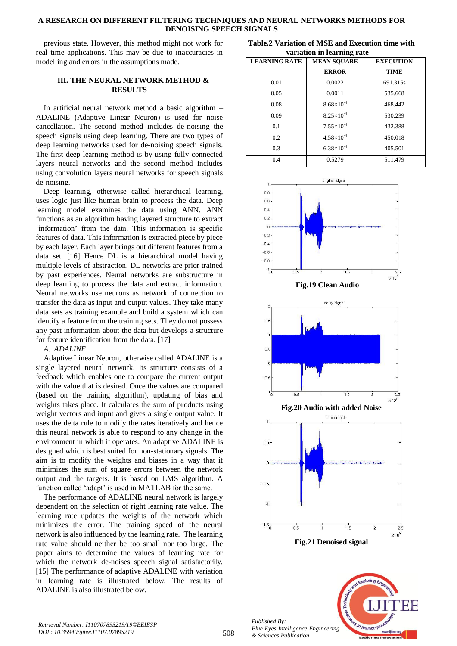previous state. However, this method might not work for real time applications. This may be due to inaccuracies in modelling and errors in the assumptions made.

# **III. THE NEURAL NETWORK METHOD & RESULTS**

In artificial neural network method a basic algorithm – ADALINE (Adaptive Linear Neuron) is used for noise cancellation. The second method includes de-noising the speech signals using deep learning. There are two types of deep learning networks used for de-noising speech signals. The first deep learning method is by using fully connected layers neural networks and the second method includes using convolution layers neural networks for speech signals de-noising.

Deep learning, otherwise called hierarchical learning, uses logic just like human brain to process the data. Deep learning model examines the data using ANN. ANN functions as an algorithm having layered structure to extract 'information' from the data. This information is specific features of data. This information is extracted piece by piece by each layer. Each layer brings out different features from a data set. [16] Hence DL is a hierarchical model having multiple levels of abstraction. DL networks are prior trained by past experiences. Neural networks are substructure in deep learning to process the data and extract information. Neural networks use neurons as network of connection to transfer the data as input and output values. They take many data sets as training example and build a system which can identify a feature from the training sets. They do not possess any past information about the data but develops a structure for feature identification from the data. [17]

## *A. ADALINE*

Adaptive Linear Neuron, otherwise called ADALINE is a single layered neural network. Its structure consists of a feedback which enables one to compare the current output with the value that is desired. Once the values are compared (based on the training algorithm), updating of bias and weights takes place. It calculates the sum of products using weight vectors and input and gives a single output value. It uses the delta rule to modify the rates iteratively and hence this neural network is able to respond to any change in the environment in which it operates. An adaptive ADALINE is designed which is best suited for non-stationary signals. The aim is to modify the weights and biases in a way that it minimizes the sum of square errors between the network output and the targets. It is based on LMS algorithm. A function called 'adapt' is used in MATLAB for the same.

The performance of ADALINE neural network is largely dependent on the selection of right learning rate value. The learning rate updates the weights of the network which minimizes the error. The training speed of the neural network is also influenced by the learning rate. The learning rate value should neither be too small nor too large. The paper aims to determine the values of learning rate for which the network de-noises speech signal satisfactorily. [15] The performance of adaptive ADALINE with variation in learning rate is illustrated below. The results of ADALINE is also illustrated below.

**Table.2 Variation of MSE and Execution time with variation in learning rate**

| <b>LEARNING RATE</b> | <b>MEAN SQUARE</b>    | <b>EXECUTION</b> |
|----------------------|-----------------------|------------------|
|                      | <b>ERROR</b>          | <b>TIME</b>      |
| 0.01                 | 0.0022                | 691.315s         |
| 0.05                 | 0.0011                | 535.668          |
| 0.08                 | $8.68\times10^{-4}$   | 468.442          |
| 0.09                 | $8.25\times10^{-4}$   | 530.239          |
| 0.1                  | $7.55\times10^{-4}$   | 432.388          |
| 0.2                  | $4.58 \times 10^{-4}$ | 450.018          |
| 0.3                  | $6.38\times10^{-4}$   | 405.501          |
| 0.4                  | 0.5279                | 511.479          |







**Fig.20 Audio with added Noise**



Jo <sub>leumor</sub> *Blue Eyes Intelligence Engineering* 

*Published By:*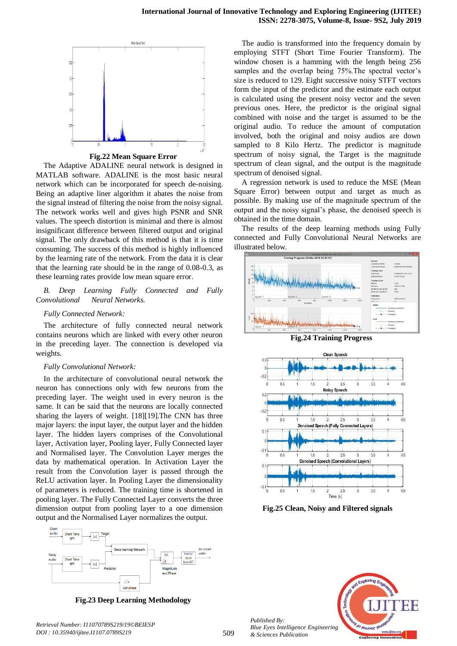

**Fig.22 Mean Square Error**

The Adaptive ADALINE neural network is designed in MATLAB software. ADALINE is the most basic neural network which can be incorporated for speech de-noising. Being an adaptive liner algorithm it abates the noise from the signal instead of filtering the noise from the noisy signal. The network works well and gives high PSNR and SNR values. The speech distortion is minimal and there is almost insignificant difference between filtered output and original signal. The only drawback of this method is that it is time consuming. The success of this method is highly influenced by the learning rate of the network. From the data it is clear that the learning rate should be in the range of 0.08-0.3, as these learning rates provide low mean square error.

*B. Deep Learning Fully Connected and Fully Convolutional Neural Networks.*

#### *Fully Connected Network:*

The architecture of fully connected neural network contains neurons which are linked with every other neuron in the preceding layer. The connection is developed via weights.

#### *Fully Convolutional Network:*

In the architecture of convolutional neural network the neuron has connections only with few neurons from the preceding layer. The weight used in every neuron is the same. It can be said that the neurons are locally connected sharing the layers of weight. [18][19].The CNN has three major layers: the input layer, the output layer and the hidden layer. The hidden layers comprises of the Convolutional layer, Activation layer, Pooling layer, Fully Connected layer and Normalised layer. The Convolution Layer merges the data by mathematical operation. In Activation Layer the result from the Convolution layer is passed through the ReLU activation layer. In Pooling Layer the dimensionality of parameters is reduced. The training time is shortened in pooling layer. The Fully Connected Layer converts the three dimension output from pooling layer to a one dimension output and the Normalised Layer normalizes the output.



**Fig.23 Deep Learning Methodology**

The audio is transformed into the frequency domain by employing STFT (Short Time Fourier Transform). The window chosen is a hamming with the length being 256 samples and the overlap being 75%.The spectral vector's size is reduced to 129. Eight successive noisy STFT vectors form the input of the predictor and the estimate each output is calculated using the present noisy vector and the seven previous ones. Here, the predictor is the original signal combined with noise and the target is assumed to be the original audio. To reduce the amount of computation involved, both the original and noisy audios are down sampled to 8 Kilo Hertz. The predictor is magnitude spectrum of noisy signal, the Target is the magnitude spectrum of clean signal, and the output is the magnitude spectrum of denoised signal.

A regression network is used to reduce the MSE (Mean Square Error) between output and target as much as possible. By making use of the magnitude spectrum of the output and the noisy signal's phase, the denoised speech is obtained in the time domain.

The results of the deep learning methods using Fully connected and Fully Convolutional Neural Networks are illustrated below.







**Fig.25 Clean, Noisy and Filtered signals**



*Published By: Blue Eyes Intelligence Engineering & Sciences Publication*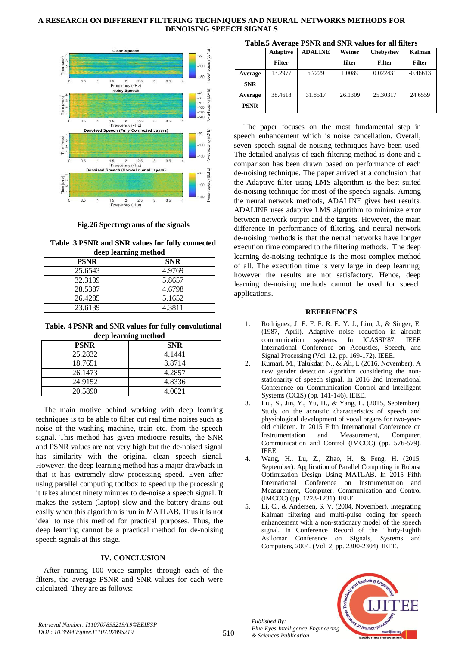

**Fig.26 Spectrograms of the signals**

**Table .3 PSNR and SNR values for fully connected deep learning method**

| <b>PSNR</b> | <b>SNR</b> |
|-------------|------------|
| 25.6543     | 4.9769     |
| 32.3139     | 5.8657     |
| 28.5387     | 4.6798     |
| 26.4285     | 5.1652     |
| 23.6139     | 4.3811     |

**Table. 4 PSNR and SNR values for fully convolutional deep learning method**

| <b>PSNR</b> | <b>SNR</b> |
|-------------|------------|
| 25.2832     | 4.1441     |
| 18.7651     | 3.8714     |
| 26.1473     | 4.2857     |
| 24.9152     | 4.8336     |
| 20.5890     | 4.0621     |

The main motive behind working with deep learning techniques is to be able to filter out real time noises such as noise of the washing machine, train etc. from the speech signal. This method has given mediocre results, the SNR and PSNR values are not very high but the de-noised signal has similarity with the original clean speech signal. However, the deep learning method has a major drawback in that it has extremely slow processing speed. Even after using parallel computing toolbox to speed up the processing it takes almost ninety minutes to de-noise a speech signal. It makes the system (laptop) slow and the battery drains out easily when this algorithm is run in MATLAB. Thus it is not ideal to use this method for practical purposes. Thus, the deep learning cannot be a practical method for de-noising speech signals at this stage.

## **IV. CONCLUSION**

After running 100 voice samples through each of the filters, the average PSNR and SNR values for each were calculated. They are as follows:

| Table.5 Average PSNR and SNR values for all filters |  |  |  |  |  |  |  |
|-----------------------------------------------------|--|--|--|--|--|--|--|
|-----------------------------------------------------|--|--|--|--|--|--|--|

|             | <b>Adaptive</b> | <b>ADALINE</b> | Weiner  | <b>Chebyshev</b> | Kalman        |
|-------------|-----------------|----------------|---------|------------------|---------------|
|             | <b>Filter</b>   |                | filter  | <b>Filter</b>    | <b>Filter</b> |
| Average     | 13.2977         | 6.7229         | 1.0089  | 0.022431         | $-0.46613$    |
| <b>SNR</b>  |                 |                |         |                  |               |
| Average     | 38.4618         | 31.8517        | 26.1309 | 25.30317         | 24.6559       |
| <b>PSNR</b> |                 |                |         |                  |               |

The paper focuses on the most fundamental step in speech enhancement which is noise cancellation. Overall, seven speech signal de-noising techniques have been used. The detailed analysis of each filtering method is done and a comparison has been drawn based on performance of each de-noising technique. The paper arrived at a conclusion that the Adaptive filter using LMS algorithm is the best suited de-noising technique for most of the speech signals. Among the neural network methods, ADALINE gives best results. ADALINE uses adaptive LMS algorithm to minimize error between network output and the targets. However, the main difference in performance of filtering and neural network de-noising methods is that the neural networks have longer execution time compared to the filtering methods. The deep learning de-noising technique is the most complex method of all. The execution time is very large in deep learning; however the results are not satisfactory. Hence, deep learning de-noising methods cannot be used for speech applications.

## **REFERENCES**

- 1. Rodriguez, J. E. F. F. R. E. Y. J., Lim, J., & Singer, E. (1987, April). Adaptive noise reduction in aircraft communication systems. In ICASSP'87. IEEE International Conference on Acoustics, Speech, and Signal Processing (Vol. 12, pp. 169-172). IEEE.
- 2. Kumari, M., Talukdar, N., & Ali, I. (2016, November). A new gender detection algorithm considering the nonstationarity of speech signal. In 2016 2nd International Conference on Communication Control and Intelligent Systems (CCIS) (pp. 141-146). IEEE.
- 3. Liu, S., Jin, Y., Yu, H., & Yang, L. (2015, September). Study on the acoustic characteristics of speech and physiological development of vocal organs for two-yearold children. In 2015 Fifth International Conference on Instrumentation and Measurement, Computer, Communication and Control (IMCCC) (pp. 576-579). IEEE.
- 4. Wang, H., Lu, Z., Zhao, H., & Feng, H. (2015, September). Application of Parallel Computing in Robust Optimization Design Using MATLAB. In 2015 Fifth International Conference on Instrumentation and Measurement, Computer, Communication and Control (IMCCC) (pp. 1228-1231). IEEE.
- 5. Li, C., & Andersen, S. V. (2004, November). Integrating Kalman filtering and multi-pulse coding for speech enhancement with a non-stationary model of the speech signal. In Conference Record of the Thirty-Eighth Asilomar Conference on Signals, Systems and Computers, 2004. (Vol. 2, pp. 2300-2304). IEEE.



*Published By:*